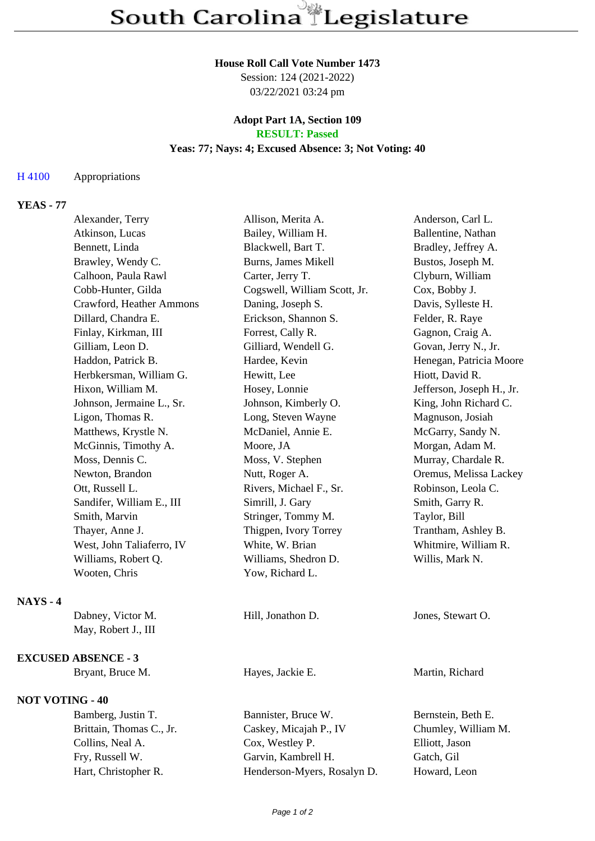#### **House Roll Call Vote Number 1473**

Session: 124 (2021-2022) 03/22/2021 03:24 pm

## **Adopt Part 1A, Section 109 RESULT: Passed**

### **Yeas: 77; Nays: 4; Excused Absence: 3; Not Voting: 40**

## H 4100 Appropriations

# **YEAS - 77**

|                 | Alexander, Terry           | Allison, Merita A.           | Anderson, Carl L.         |
|-----------------|----------------------------|------------------------------|---------------------------|
|                 | Atkinson, Lucas            | Bailey, William H.           | Ballentine, Nathan        |
|                 | Bennett, Linda             | Blackwell, Bart T.           | Bradley, Jeffrey A.       |
|                 | Brawley, Wendy C.          | Burns, James Mikell          | Bustos, Joseph M.         |
|                 | Calhoon, Paula Rawl        | Carter, Jerry T.             | Clyburn, William          |
|                 | Cobb-Hunter, Gilda         | Cogswell, William Scott, Jr. | Cox, Bobby J.             |
|                 | Crawford, Heather Ammons   | Daning, Joseph S.            | Davis, Sylleste H.        |
|                 | Dillard, Chandra E.        | Erickson, Shannon S.         | Felder, R. Raye           |
|                 | Finlay, Kirkman, III       | Forrest, Cally R.            | Gagnon, Craig A.          |
|                 | Gilliam, Leon D.           | Gilliard, Wendell G.         | Govan, Jerry N., Jr.      |
|                 | Haddon, Patrick B.         | Hardee, Kevin                | Henegan, Patricia Moore   |
|                 | Herbkersman, William G.    | Hewitt, Lee                  | Hiott, David R.           |
|                 | Hixon, William M.          | Hosey, Lonnie                | Jefferson, Joseph H., Jr. |
|                 | Johnson, Jermaine L., Sr.  | Johnson, Kimberly O.         | King, John Richard C.     |
|                 | Ligon, Thomas R.           | Long, Steven Wayne           | Magnuson, Josiah          |
|                 | Matthews, Krystle N.       | McDaniel, Annie E.           | McGarry, Sandy N.         |
|                 | McGinnis, Timothy A.       | Moore, JA                    | Morgan, Adam M.           |
|                 | Moss, Dennis C.            | Moss, V. Stephen             | Murray, Chardale R.       |
|                 | Newton, Brandon            | Nutt, Roger A.               | Oremus, Melissa Lackey    |
|                 | Ott, Russell L.            | Rivers, Michael F., Sr.      | Robinson, Leola C.        |
|                 | Sandifer, William E., III  | Simrill, J. Gary             | Smith, Garry R.           |
|                 | Smith, Marvin              | Stringer, Tommy M.           | Taylor, Bill              |
|                 | Thayer, Anne J.            | Thigpen, Ivory Torrey        | Trantham, Ashley B.       |
|                 | West, John Taliaferro, IV  | White, W. Brian              | Whitmire, William R.      |
|                 | Williams, Robert Q.        | Williams, Shedron D.         | Willis, Mark N.           |
|                 | Wooten, Chris              | Yow, Richard L.              |                           |
| <b>NAYS - 4</b> |                            |                              |                           |
|                 | Dabney, Victor M.          | Hill, Jonathon D.            | Jones, Stewart O.         |
|                 | May, Robert J., III        |                              |                           |
|                 | <b>EXCUSED ABSENCE - 3</b> |                              |                           |
|                 | Bryant, Bruce M.           | Hayes, Jackie E.             | Martin, Richard           |
|                 | <b>NOT VOTING - 40</b>     |                              |                           |
|                 | Bamberg, Justin T.         | Bannister, Bruce W.          | Bernstein, Beth E.        |
|                 | Brittain, Thomas C., Jr.   | Caskey, Micajah P., IV       | Chumley, William M.       |
|                 | Collins, Neal A.           | Cox, Westley P.              | Elliott, Jason            |
|                 | Fry, Russell W.            | Garvin, Kambrell H.          | Gatch, Gil                |

Hart, Christopher R. Henderson-Myers, Rosalyn D. Howard, Leon